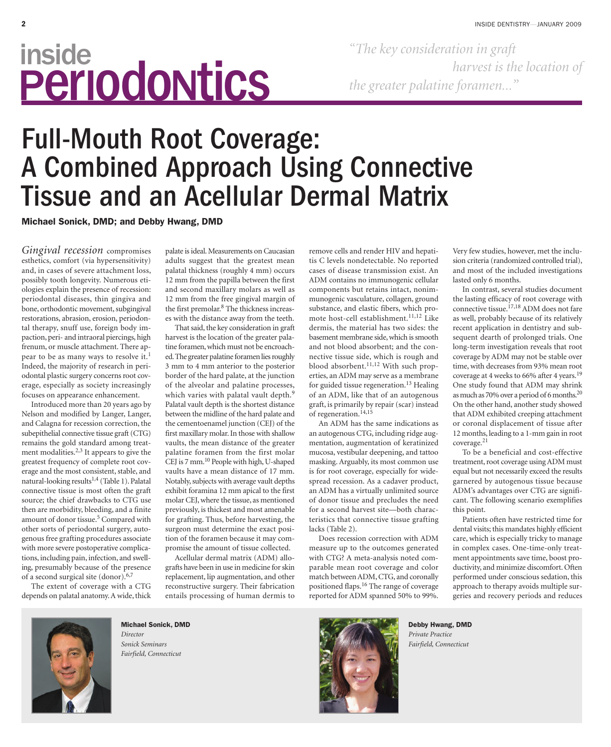# inside PerIodoNtics

*"The key consideration in graft harvest is the location of the greater palatine foramen..."*

## Full-Mouth Root Coverage: A Combined Approach Using Connective Tissue and an Acellular Dermal Matrix

**Michael Sonick, DMD; and Debby Hwang, DMD**

*Gingival recession* compromises esthetics, comfort (via hypersensitivity) and, in cases of severe attachment loss, possibly tooth longevity. Numerous etiologies explain the presence of recession: periodontal diseases, thin gingiva and bone, orthodontic movement, subgingival restorations, abrasion, erosion, periodontal therapy, snuff use, foreign body impaction, peri- and intraoral piercings, high frenum, or muscle attachment. There appear to be as many ways to resolve it.<sup>1</sup> Indeed, the majority of research in periodontal plastic surgery concerns root coverage, especially as society increasingly focuses on appearance enhancement.

Introduced more than 20 years ago by Nelson and modified by Langer, Langer, and Calagna for recession correction, the subepithelial connective tissue graft (CTG) remains the gold standard among treatment modalities.<sup>2,3</sup> It appears to give the greatest frequency of complete root coverage and the most consistent, stable, and natural-looking results<sup>1,4</sup> (Table 1). Palatal connective tissue is most often the graft source; the chief drawbacks to CTG use then are morbidity, bleeding, and a finite amount of donor tissue.<sup>5</sup> Compared with other sorts of periodontal surgery, autogenous free grafting procedures associate with more severe postoperative complications, including pain, infection, and swelling, presumably because of the presence of a second surgical site (donor).6,7

The extent of coverage with a CTG depends on palatal anatomy. A wide, thick palate is ideal. Measurements on Caucasian adults suggest that the greatest mean palatal thickness (roughly 4 mm) occurs 12 mm from the papilla between the first and second maxillary molars as well as 12 mm from the free gingival margin of the first premolar.<sup>8</sup> The thickness increases with the distance away from the teeth.

That said, the key consideration in graft harvest is the location of the greater palatine foramen, which must not be encroached.The greater palatine foramen lies roughly 3 mm to 4 mm anterior to the posterior border of the hard palate, at the junction of the alveolar and palatine processes, which varies with palatal vault depth.<sup>9</sup> Palatal vault depth is the shortest distance between the midline of the hard palate and the cementoenamel junction (CEJ) of the first maxillary molar. In those with shallow vaults, the mean distance of the greater palatine foramen from the first molar CEJ is 7 mm.<sup>10</sup> People with high, U-shaped vaults have a mean distance of 17 mm. Notably, subjects with average vault depths exhibit foramina 12 mm apical to the first molar CEJ, where the tissue, as mentioned previously, is thickest and most amenable for grafting. Thus, before harvesting, the surgeon must determine the exact position of the foramen because it may compromise the amount of tissue collected.

Acellular dermal matrix (ADM) allografts have been in use in medicine for skin replacement, lip augmentation, and other reconstructive surgery. Their fabrication entails processing of human dermis to

remove cells and render HIV and hepatitis C levels nondetectable. No reported cases of disease transmission exist. An ADM contains no immunogenic cellular components but retains intact, nonimmunogenic vasculature, collagen, ground substance, and elastic fibers, which promote host-cell establishment.<sup>11,12</sup> Like dermis, the material has two sides: the basement membrane side, which is smooth and not blood absorbent; and the connective tissue side, which is rough and blood absorbent. $11,12$  With such properties, an ADM may serve as a membrane for guided tissue regeneration.13 Healing of an ADM, like that of an autogenous graft, is primarily by repair (scar) instead of regeneration.<sup>14,15</sup>

An ADM has the same indications as an autogenous CTG, including ridge augmentation, augmentation of keratinized mucosa, vestibular deepening, and tattoo masking. Arguably, its most common use is for root coverage, especially for widespread recession. As a cadaver product, an ADM has a virtually unlimited source of donor tissue and precludes the need for a second harvest site—both characteristics that connective tissue grafting lacks (Table 2).

Does recession correction with ADM measure up to the outcomes generated with CTG? A meta-analysis noted comparable mean root coverage and color match between ADM, CTG, and coronally positioned flaps.16 The range of coverage reported for ADM spanned 50% to 99%.

Very few studies, however, met the inclusion criteria (randomized controlled trial), and most of the included investigations lasted only 6 months.

In contrast, several studies document the lasting efficacy of root coverage with connective tissue.17,18 ADM does not fare as well, probably because of its relatively recent application in dentistry and subsequent dearth of prolonged trials. One long-term investigation reveals that root coverage by ADM may not be stable over time, with decreases from 93% mean root coverage at 4 weeks to 66% after 4 years.<sup>19</sup> One study found that ADM may shrink as much as 70% over a period of 6 months.20 On the other hand, another study showed that ADM exhibited creeping attachment or coronal displacement of tissue after 12 months, leading to a 1-mm gain in root coverage.21

To be a beneficial and cost-effective treatment, root coverage using ADM must equal but not necessarily exceed the results garnered by autogenous tissue because ADM's advantages over CTG are significant. The following scenario exemplifies this point.

Patients often have restricted time for dental visits; this mandates highly efficient care, which is especially tricky to manage in complex cases. One-time-only treatment appointments save time, boost productivity, and minimize discomfort. Often performed under conscious sedation, this approach to therapy avoids multiple surgeries and recovery periods and reduces



**Michael Sonick, DMD** *Director Sonick Seminars*

*Fairfield, Connecticut*



**Debby Hwang, DMD** *Private Practice Fairfield, Connecticut*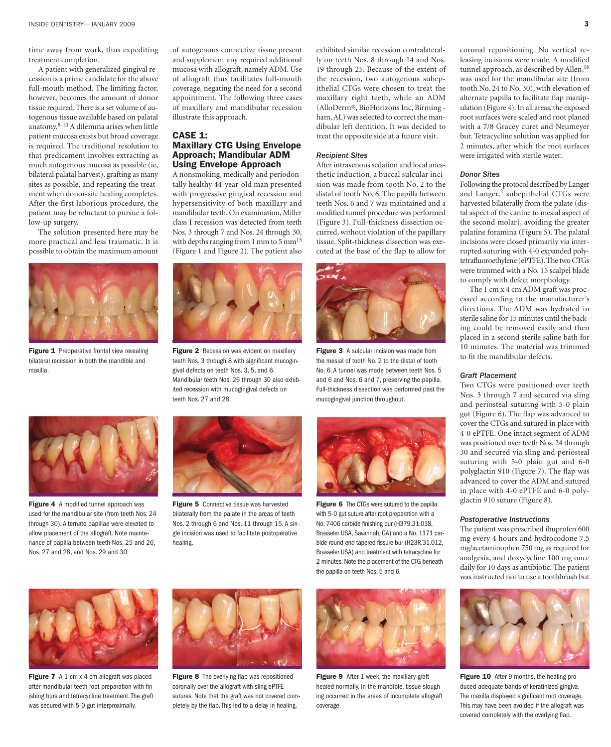time away from work, thus expediting treatment completion.

A patient with generalized gingival recession is a prime candidate for the above full-mouth method. The limiting factor, however, becomes the amount of donor tissue required. There is a set volume of autogenous tissue available based on palatal anatomy.8-10 A dilemma arises when little patient mucosa exists but broad coverage is required. The traditional resolution to that predicament involves extracting as much autogenous mucosa as possible (ie, bilateral palatal harvest), grafting as many sites as possible, and repeating the treatment when donor-site healing completes. After the first laborious procedure, the patient may be reluctant to pursue a follow-up surgery.

The solution presented here may be more practical and less traumatic. It is possible to obtain the maximum amount



**Figure 1** Preoperative frontal view revealing bilateral recession in both the mandible and maxilla.

**Figure 4** A modified tunnel approach was used for the mandibular site (from teeth Nos. 24 through 30). Alternate papillae were elevated to allow placement of the allograft. Note maintenance of papilla between teeth Nos. 25 and 26,

Nos. 27 and 28, and Nos. 29 and 30.

of autogenous connective tissue present and supplement any required additional mucosa with allograft, namely ADM. Use of allograft thus facilitates full-mouth coverage, negating the need for a second appointment. The following three cases of maxillary and mandibular recession illustrate this approach.

#### **CASE 1: Maxillary CTG Using Envelope Approach; Mandibular ADM Using Envelope Approach**

A nonsmoking, medically and periodontally healthy 44-year-old man presented with progressive gingival recession and hypersensitivity of both maxillary and mandibular teeth. On examination, Miller class I recession was detected from teeth Nos. 3 through 7 and Nos. 24 through 30, with depths ranging from 1 mm to 5  $\text{mm}^{15}$ (Figure 1 and Figure 2). The patient also



**Figure 2** Recession was evident on maxillary teeth Nos. 3 through 8 with significant mucogingival defects on teeth Nos. 3, 5, and 6. Mandibular teeth Nos. 26 through 30 also exhibited recession with mucogingival defects on teeth Nos. 27 and 28.



exhibited similar recession contralaterally on teeth Nos. 8 through 14 and Nos. 19 through 25. Because of the extent of the recession, two autogenous subepithelial CTGs were chosen to treat the maxillary right teeth, while an ADM (AlloDerm®, BioHorizons Inc, Birming ham, AL) was selected to correct the mandibular left dentition. It was decided to treat the opposite side at a future visit.

After intravenous sedation and local anesthetic induction, a buccal sulcular incision was made from tooth No. 2 to the distal of tooth No. 6. The papilla between teeth Nos. 6 and 7 was maintained and a modified tunnel procedure was performed (Figure 3). Full-thickness dissection occurred, without violation of the papillary tissue. Split-thickness dissection was executed at the base of the flap to allow for

*Recipient Sites*

**Figure 3** A sulcular incision was made from the mesial of tooth No. 2 to the distal of tooth No. 6. A tunnel was made between teeth Nos. 5 and 6 and Nos. 6 and 7, preserving the papilla. Full-thickness dissection was performed past the mucogingival junction throughout.



**Figure 6** The CTGs were sutured to the papilla with 5-0 gut suture after root preparation with a No. 7406 carbide finishing bur (H379.31.018, Brasseler USA, Savannah, GA) and a No. 1171 carbide round-end tapered fissure bur (H23R.31.012, Brasseler USA) and treatment with tetracycline for 2 minutes. Note the placement of the CTG beneath the papilla on teeth Nos. 5 and 6.

**Figure 7** A 1 cm x 4 cm allograft was placed after mandibular teeth root preparation with finishing burs and tetracycline treatment.The graft was secured with 5-0 gut interproximally.



**Figure 5** Connective tissue was harvested bilaterally from the palate in the areas of teeth Nos. 2 through 6 and Nos. 11 through 15. A single incision was used to facilitate postoperative

healing.

**Figure 8** The overlying flap was repositioned coronally over the allograft with sling ePTFE sutures. Note that the graft was not covered completely by the flap. This led to a delay in healing.



**Figure 9** After 1 week, the maxillary graft healed normally. In the mandible, tissue sloughing occurred in the areas of incomplete allograft coverage.

coronal repositioning. No vertical releasing incisions were made. A modified tunnel approach, as described by Allen,<sup>16</sup> was used for the mandibular site (from tooth No. 24 to No. 30), with elevation of alternate papilla to facilitate flap manipulation (Figure 4). In all areas, the exposed root surfaces were scaled and root planed with a 7/8 Gracey curet and Neumeyer bur. Tetracycline solution was applied for 2 minutes, after which the root surfaces were irrigated with sterile water.

#### *Donor Sites*

Following the protocol described by Langer and Langer,<sup>2</sup> subepithelial CTGs were harvested bilaterally from the palate (distal aspect of the canine to mesial aspect of the second molar), avoiding the greater palatine foramina (Figure 5). The palatal incisions were closed primarily via interrupted suturing with 4-0 expanded polytetrafluoroethylene (ePTFE). The two CTGs were trimmed with a No. 15 scalpel blade to comply with defect morphology.

The 1 cm x 4 cm ADM graft was processed according to the manufacturer's directions. The ADM was hydrated in sterile saline for 15 minutes until the backing could be removed easily and then placed in a second sterile saline bath for 10 minutes. The material was trimmed to fit the mandibular defects.

#### *Graft Placement*

Two CTGs were positioned over teeth Nos. 3 through 7 and secured via sling and periosteal suturing with 5-0 plain gut (Figure 6). The flap was advanced to cover the CTGs and sutured in place with 4-0 ePTFE. One intact segment of ADM was positioned over teeth Nos. 24 through 30 and secured via sling and periosteal suturing with 5-0 plain gut and 6-0 polyglactin 910 (Figure 7). The flap was advanced to cover the ADM and sutured in place with 4-0 ePTFE and 6-0 polyglactin 910 suture (Figure 8).

#### *Postoperative Instructions*

The patient was prescribed ibuprofen 600 mg every 4 hours and hydrocodone 7.5 mg/acetaminophen 750 mg as required for analgesia, and doxycycline 100 mg once daily for 10 days as antibiotic. The patient was instructed not to use a toothbrush but



**Figure 10** After 9 months, the healing produced adequate bands of keratinized gingiva. The maxilla displayed significant root coverage. This may have been avoided if the allograft was covered completely with the overlying flap.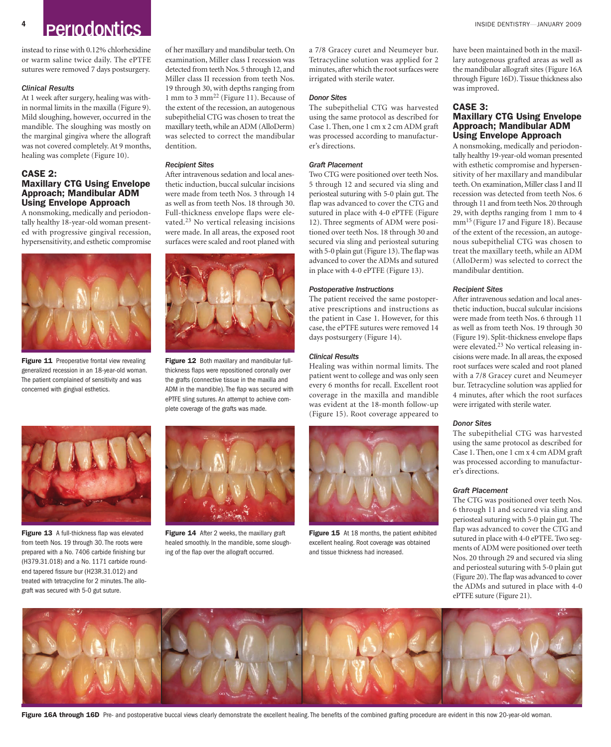### **4 Periodontics INSIDE DENTISTRY—JANUARY 2009**

instead to rinse with 0.12% chlorhexidine or warm saline twice daily. The ePTFE sutures were removed 7 days postsurgery.

#### *Clinical Results*

At 1 week after surgery, healing was within normal limits in the maxilla (Figure 9). Mild sloughing, however, occurred in the mandible. The sloughing was mostly on the marginal gingiva where the allograft was not covered completely. At 9 months, healing was complete (Figure 10).

#### **CASE 2: Maxillary CTG Using Envelope Approach; Mandibular ADM Using Envelope Approach**

A nonsmoking, medically and periodontally healthy 18-year-old woman presented with progressive gingival recession, hypersensitivity, and esthetic compromise



**Figure 11** Preoperative frontal view revealing generalized recession in an 18-year-old woman. The patient complained of sensitivity and was concerned with gingival esthetics.



**Figure 13** A full-thickness flap was elevated from teeth Nos. 19 through 30. The roots were prepared with a No. 7406 carbide finishing bur (H379.31.018) and a No. 1171 carbide roundend tapered fissure bur (H23R.31.012) and treated with tetracycline for 2 minutes. The allograft was secured with 5-0 gut suture.

of her maxillary and mandibular teeth. On examination, Miller class I recession was detected from teeth Nos. 5 through 12, and Miller class II recession from teeth Nos. 19 through 30, with depths ranging from 1 mm to 3 mm<sup>22</sup> (Figure 11). Because of the extent of the recession, an autogenous subepithelial CTG was chosen to treat the maxillary teeth, while an ADM (AlloDerm) was selected to correct the mandibular dentition.

#### *Recipient Sites*

After intravenous sedation and local anesthetic induction, buccal sulcular incisions were made from teeth Nos. 3 through 14 as well as from teeth Nos. 18 through 30. Full-thickness envelope flaps were elevated.<sup>23</sup> No vertical releasing incisions were made. In all areas, the exposed root surfaces were scaled and root planed with



**Figure 12** Both maxillary and mandibular fullthickness flaps were repositioned coronally over the grafts (connective tissue in the maxilla and ADM in the mandible). The flap was secured with ePTFE sling sutures. An attempt to achieve complete coverage of the grafts was made.



**Figure 14** After 2 weeks, the maxillary graft healed smoothly. In the mandible, some sloughing of the flap over the allograft occurred.

a 7/8 Gracey curet and Neumeyer bur. Tetracycline solution was applied for 2 minutes, after which the root surfaces were irrigated with sterile water.

#### *Donor Sites*

The subepithelial CTG was harvested using the same protocol as described for Case 1. Then, one 1 cm x 2 cm ADM graft was processed according to manufacturer's directions.

#### *Graft Placement*

Two CTG were positioned over teeth Nos. 5 through 12 and secured via sling and periosteal suturing with 5-0 plain gut. The flap was advanced to cover the CTG and sutured in place with 4-0 ePTFE (Figure 12). Three segments of ADM were positioned over teeth Nos. 18 through 30 and secured via sling and periosteal suturing with 5-0 plain gut (Figure 13). The flap was advanced to cover the ADMs and sutured in place with 4-0 ePTFE (Figure 13).

#### *Postoperative Instructions*

The patient received the same postoperative prescriptions and instructions as the patient in Case 1. However, for this case, the ePTFE sutures were removed 14 days postsurgery (Figure 14).

#### *Clinical Results*

Healing was within normal limits. The patient went to college and was only seen every 6 months for recall. Excellent root coverage in the maxilla and mandible was evident at the 18-month follow-up (Figure 15). Root coverage appeared to



**Figure 15** At 18 months, the patient exhibited excellent healing. Root coverage was obtained and tissue thickness had increased.

have been maintained both in the maxillary autogenous grafted areas as well as the mandibular allograft sites (Figure 16A through Figure 16D). Tissue thickness also was improved.

#### **CASE 3: Maxillary CTG Using Envelope Approach; Mandibular ADM Using Envelope Approach**

A nonsmoking, medically and periodontally healthy 19-year-old woman presented with esthetic compromise and hypersensitivity of her maxillary and mandibular teeth. On examination, Miller class I and II recession was detected from teeth Nos. 6 through 11 and from teeth Nos. 20 through 29, with depths ranging from 1 mm to 4 mm15 (Figure 17 and Figure 18). Because of the extent of the recession, an autogenous subepithelial CTG was chosen to treat the maxillary teeth, while an ADM (AlloDerm) was selected to correct the mandibular dentition.

#### *Recipient Sites*

After intravenous sedation and local anesthetic induction, buccal sulcular incisions were made from teeth Nos. 6 through 11 as well as from teeth Nos. 19 through 30 (Figure 19). Split-thickness envelope flaps were elevated.<sup>23</sup> No vertical releasing incisions were made.In all areas, the exposed root surfaces were scaled and root planed with a 7/8 Gracey curet and Neumeyer bur. Tetracycline solution was applied for 4 minutes, after which the root surfaces were irrigated with sterile water.

#### *Donor Sites*

The subepithelial CTG was harvested using the same protocol as described for Case 1. Then, one 1 cm x 4 cm ADM graft was processed according to manufacturer's directions.

#### *Graft Placement*

The CTG was positioned over teeth Nos. 6 through 11 and secured via sling and periosteal suturing with 5-0 plain gut. The flap was advanced to cover the CTG and sutured in place with 4-0 ePTFE. Two segments of ADM were positioned over teeth Nos. 20 through 29 and secured via sling and periosteal suturing with 5-0 plain gut (Figure 20). The flap was advanced to cover the ADMs and sutured in place with 4-0 ePTFE suture (Figure 21).



Figure 16A through 16D Pre- and postoperative buccal views clearly demonstrate the excellent healing. The benefits of the combined grafting procedure are evident in this now 20-year-old woman.